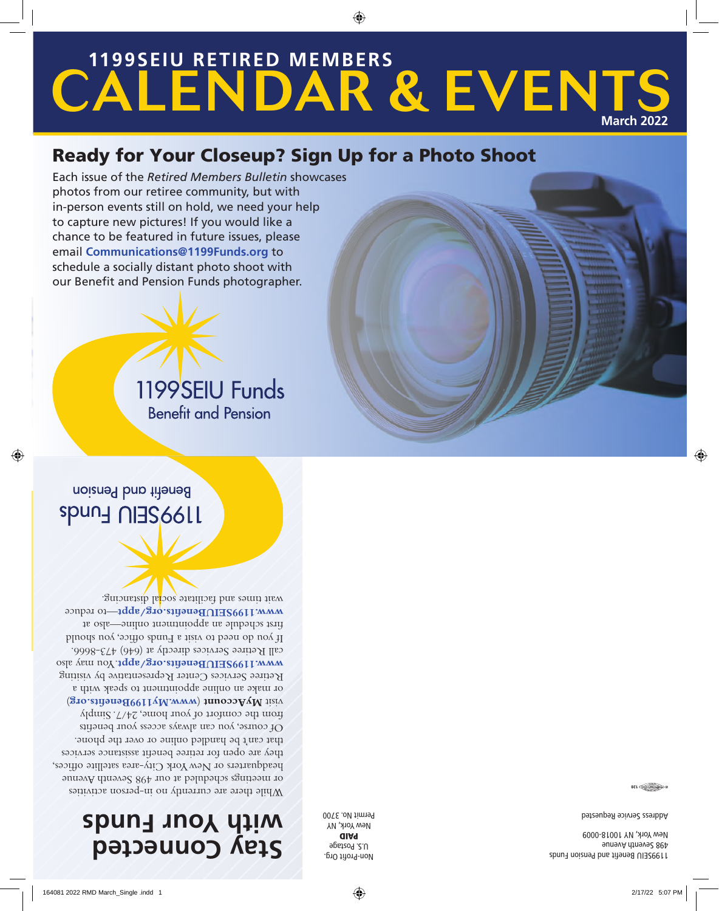# **Stay Connected with Your Funds**

While there are currently no in-person activities or meetings scheduled at our 498 Seventh Avenue headquarters or New York City-area satellite offices, they are open for retiree benefit assistance services that can't be handled online or over the phone. Of course, you can always access your benefits from the comfort of your home, 24/7. Simply ) **www.My1199Benefits.org** ( **MyAccount** visit or make an online appointment to speak with a Retiree Services Center Representative by visiting WWW.1199SEIUBenefits.org/appt.You may also call Retiree Services directly at (646) 473-8666. If you do need to visit a Funds office, you should first schedule an appointment online—also at www.1199SEIUBenefits.org/appt-to reduce

wait times and facilitate social distancing.

Non-Profit Org. U.S. Postage PAID New York, NY Permit No. 3700

1199SEIU Benefit and Pension Funds 498 Seventh Avenue New York, NY 10018-0009

Address Service Requested

 $0$   $\overline{O(1 + \frac{1}{\sqrt{1 + \frac{1}{\sqrt{1 + \frac{1}{\sqrt{1 + \frac{1}{\sqrt{1 + \frac{1}{\sqrt{1 + \frac{1}{\sqrt{1 + \frac{1}{\sqrt{1 + \frac{1}{\sqrt{1 + \frac{1}{\sqrt{1 + \frac{1}{\sqrt{1 + \frac{1}{\sqrt{1 + \frac{1}{\sqrt{1 + \frac{1}{\sqrt{1 + \frac{1}{\sqrt{1 + \frac{1}{\sqrt{1 + \frac{1}{\sqrt{1 + \frac{1}{\sqrt{1 + \frac{1}{\sqrt{1 + \frac{1}{\sqrt{1 + \frac{1}{\sqrt{1 + \frac{1}{\sqrt{$ 

Benefit and Pension **Spung NIRS6611** 



Ready for Your Closeup? Sign Up for a Photo Shoot Each issue of the *Retired Members Bulletin* showcases photos from our retiree community, but with in-person events still on hold, we need your help to capture new pictures! If you would like a chance to be featured in future issues, please email **Communications@1199Funds.org** to schedule a socially distant photo shoot with our Benefit and Pension Funds photographer.

### CALENDAR & EVENTS **1199SEIU RETIRED MEMBERS March 2022**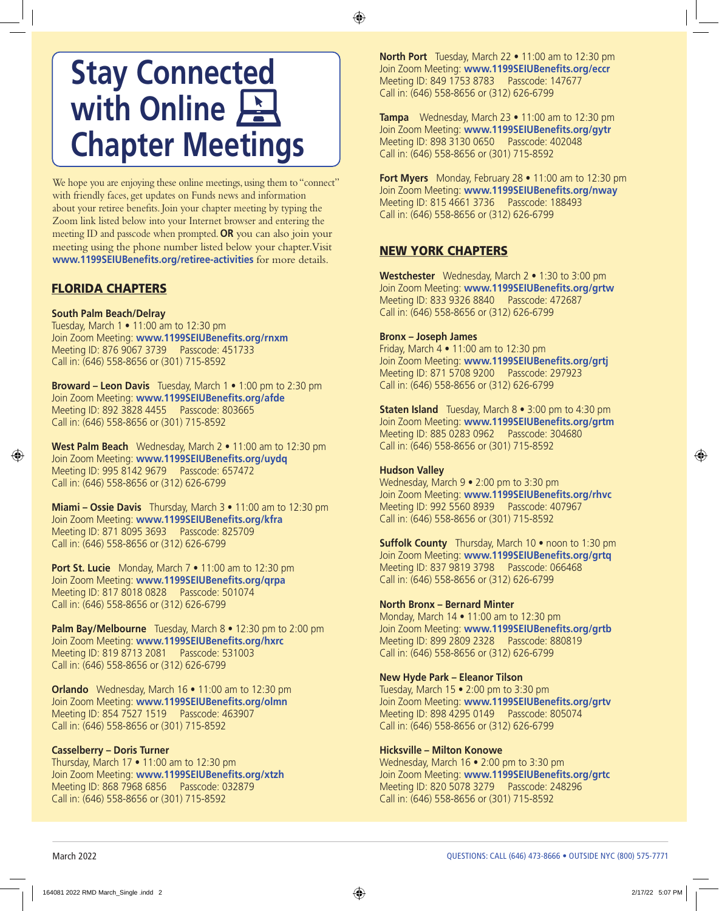# **Stay Connected with Online Chapter Meetings**

We hope you are enjoying these online meetings, using them to "connect" with friendly faces, get updates on Funds news and information about your retiree benefits. Join your chapter meeting by typing the Zoom link listed below into your Internet browser and entering the meeting ID and passcode when prompted. **OR** you can also join your meeting using the phone number listed below your chapter. Visit **www.1199SEIUBenefits.org/retiree-activities** for more details.

### FLORIDA CHAPTERS

#### **South Palm Beach/Delray**

Tuesday, March 1 • 11:00 am to 12:30 pm Join Zoom Meeting: **www.1199SEIUBenefits.org/rnxm** Meeting ID: 876 9067 3739 Passcode: 451733 Call in: (646) 558-8656 or (301) 715-8592

**Broward – Leon Davis** Tuesday, March 1 • 1:00 pm to 2:30 pm Join Zoom Meeting: **www.1199SEIUBenefits.org/afde** Meeting ID: 892 3828 4455 Passcode: 803665 Call in: (646) 558-8656 or (301) 715-8592

**West Palm Beach** Wednesday, March 2 • 11:00 am to 12:30 pm Join Zoom Meeting: **www.1199SEIUBenefits.org/uydq** Meeting ID: 995 8142 9679 Passcode: 657472 Call in: (646) 558-8656 or (312) 626-6799

**Miami – Ossie Davis** Thursday, March 3 • 11:00 am to 12:30 pm Join Zoom Meeting: **www.1199SEIUBenefits.org/kfra** Meeting ID: 871 8095 3693 Passcode: 825709 Call in: (646) 558-8656 or (312) 626-6799

**Port St. Lucie** Monday, March 7 • 11:00 am to 12:30 pm Join Zoom Meeting: **www.1199SEIUBenefits.org/qrpa** Meeting ID: 817 8018 0828 Passcode: 501074 Call in: (646) 558-8656 or (312) 626-6799

**Palm Bay/Melbourne** Tuesday, March 8 • 12:30 pm to 2:00 pm Join Zoom Meeting: **www.1199SEIUBenefits.org/hxrc** Meeting ID: 819 8713 2081 Passcode: 531003 Call in: (646) 558-8656 or (312) 626-6799

**Orlando** Wednesday, March 16 • 11:00 am to 12:30 pm Join Zoom Meeting: **www.1199SEIUBenefits.org/olmn** Meeting ID: 854 7527 1519 Passcode: 463907 Call in: (646) 558-8656 or (301) 715-8592

#### **Casselberry – Doris Turner**

Thursday, March 17 • 11:00 am to 12:30 pm Join Zoom Meeting: **www.1199SEIUBenefits.org/xtzh**  Meeting ID: 868 7968 6856 Passcode: 032879 Call in: (646) 558-8656 or (301) 715-8592

**North Port** Tuesday, March 22 • 11:00 am to 12:30 pm Join Zoom Meeting: **www.1199SEIUBenefits.org/eccr** Meeting ID: 849 1753 8783 Passcode: 147677 Call in: (646) 558-8656 or (312) 626-6799

**Tampa** Wednesday, March 23 • 11:00 am to 12:30 pm Join Zoom Meeting: **www.1199SEIUBenefits.org/gytr** Meeting ID: 898 3130 0650 Passcode: 402048 Call in: (646) 558-8656 or (301) 715-8592

**Fort Myers** Monday, February 28 • 11:00 am to 12:30 pm Join Zoom Meeting: **www.1199SEIUBenefits.org/nway**  Meeting ID: 815 4661 3736 Passcode: 188493 Call in: (646) 558-8656 or (312) 626-6799

### NEW YORK CHAPTERS

**Westchester** Wednesday, March 2 • 1:30 to 3:00 pm Join Zoom Meeting: **www.1199SEIUBenefits.org/grtw** Meeting ID: 833 9326 8840 Passcode: 472687 Call in: (646) 558-8656 or (312) 626-6799

#### **Bronx – Joseph James**

Friday, March 4 • 11:00 am to 12:30 pm Join Zoom Meeting: **www.1199SEIUBenefits.org/grtj**  Meeting ID: 871 5708 9200 Passcode: 297923 Call in: (646) 558-8656 or (312) 626-6799

**Staten Island** Tuesday, March 8 • 3:00 pm to 4:30 pm Join Zoom Meeting: **www.1199SEIUBenefits.org/grtm** Meeting ID: 885 0283 0962 Passcode: 304680 Call in: (646) 558-8656 or (301) 715-8592

#### **Hudson Valley**

Wednesday, March 9 • 2:00 pm to 3:30 pm Join Zoom Meeting: **www.1199SEIUBenefits.org/rhvc**  Meeting ID: 992 5560 8939 Passcode: 407967 Call in: (646) 558-8656 or (301) 715-8592

**Suffolk County** Thursday, March 10 • noon to 1:30 pm Join Zoom Meeting: **www.1199SEIUBenefits.org/grtq** Meeting ID: 837 9819 3798 Passcode: 066468 Call in: (646) 558-8656 or (312) 626-6799

#### **North Bronx – Bernard Minter**

Monday, March 14 • 11:00 am to 12:30 pm Join Zoom Meeting: **www.1199SEIUBenefits.org/grtb**  Meeting ID: 899 2809 2328 Passcode: 880819 Call in: (646) 558-8656 or (312) 626-6799

#### **New Hyde Park – Eleanor Tilson**

Tuesday, March 15 • 2:00 pm to 3:30 pm Join Zoom Meeting: **www.1199SEIUBenefits.org/grtv**  Meeting ID: 898 4295 0149 Passcode: 805074 Call in: (646) 558-8656 or (312) 626-6799

#### **Hicksville – Milton Konowe**

Wednesday, March 16 • 2:00 pm to 3:30 pm Join Zoom Meeting: **www.1199SEIUBenefits.org/grtc** Meeting ID: 820 5078 3279 Passcode: 248296 Call in: (646) 558-8656 or (301) 715-8592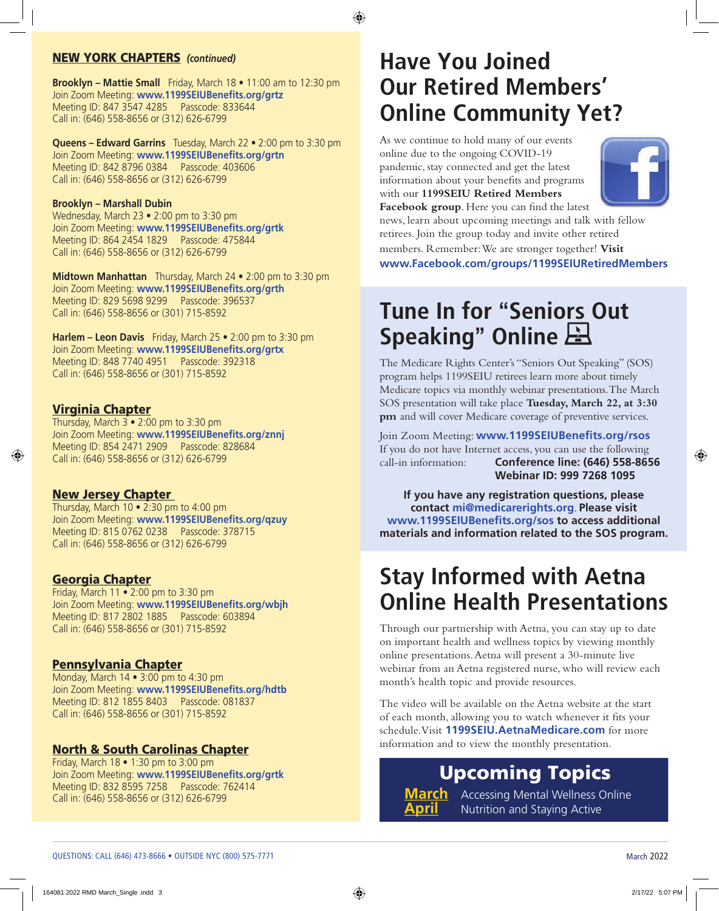### NEW YORK CHAPTERS *(continued)*

**Brooklyn – Mattie Small** Friday, March 18 • 11:00 am to 12:30 pm Join Zoom Meeting: **www.1199SEIUBenefits.org/grtz** Meeting ID: 847 3547 4285 Passcode: 833644 Call in: (646) 558-8656 or (312) 626-6799

**Queens – Edward Garrins** Tuesday, March 22 • 2:00 pm to 3:30 pm Join Zoom Meeting: **www.1199SEIUBenefits.org/grtn** Meeting ID: 842 8796 0384 Passcode: 403606 Call in: (646) 558-8656 or (312) 626-6799

#### **Brooklyn – Marshall Dubin**

Wednesday, March 23 • 2:00 pm to 3:30 pm Join Zoom Meeting: **www.1199SEIUBenefits.org/grtk**  Meeting ID: 864 2454 1829 Passcode: 475844 Call in: (646) 558-8656 or (312) 626-6799

**Midtown Manhattan** Thursday, March 24 • 2:00 pm to 3:30 pm Join Zoom Meeting: **www.1199SEIUBenefits.org/grth** Meeting ID: 829 5698 9299 Passcode: 396537 Call in: (646) 558-8656 or (301) 715-8592

**Harlem – Leon Davis** Friday, March 25 • 2:00 pm to 3:30 pm Join Zoom Meeting: **www.1199SEIUBenefits.org/grtx** Meeting ID: 848 7740 4951 Passcode: 392318 Call in: (646) 558-8656 or (301) 715-8592

### Virginia Chapter

Thursday, March  $3 \cdot 2:00$  pm to 3:30 pm Join Zoom Meeting: **www.1199SEIUBenefits.org/znnj** Meeting ID: 854 2471 2909 Passcode: 828684 Call in: (646) 558-8656 or (312) 626-6799

### **New Jersey Chapter**

Thursday, March 10 • 2:30 pm to 4:00 pm Join Zoom Meeting: **www.1199SEIUBenefits.org/qzuy**  Meeting ID: 815 0762 0238 Passcode: 378715 Call in: (646) 558-8656 or (312) 626-6799

### Georgia Chapter

Friday, March 11 • 2:00 pm to 3:30 pm Join Zoom Meeting: **www.1199SEIUBenefits.org/wbjh** Meeting ID: 817 2802 1885 Passcode: 603894 Call in: (646) 558-8656 or (301) 715-8592

### Pennsylvania Chapter

Monday, March 14 • 3:00 pm to 4:30 pm Join Zoom Meeting: **www.1199SEIUBenefits.org/hdtb**  Meeting ID: 812 1855 8403 Passcode: 081837 Call in: (646) 558-8656 or (301) 715-8592

### North & South Carolinas Chapter

Friday, March 18 • 1:30 pm to 3:00 pm Join Zoom Meeting: **www.1199SEIUBenefits.org/grtk**  Meeting ID: 832 8595 7258 Passcode: 762414 Call in: (646) 558-8656 or (312) 626-6799

### **Have You Joined Our Retired Members' Online Community Yet?**

As we continue to hold many of our events online due to the ongoing COVID-19 pandemic, stay connected and get the latest information about your benefits and programs with our **1199SEIU Retired Members Facebook group**. Here you can find the latest



news, learn about upcoming meetings and talk with fellow retirees. Join the group today and invite other retired members. Remember: We are stronger together! **Visit www.Facebook.com/groups/1199SEIURetiredMembers**

# **Tune In for** "**Seniors Out Speaking**" **Online**

The Medicare Rights Center's "Seniors Out Speaking" (SOS) program helps 1199SEIU retirees learn more about timely Medicare topics via monthly webinar presentations. The March SOS presentation will take place **Tuesday, March 22, at 3:30 pm** and will cover Medicare coverage of preventive services.

Join Zoom Meeting: **www.1199SEIUBenefits.org/rsos**  If you do not have Internet access, you can use the following call-in information: **Conference line: (646) 558-8656 Webinar ID: 999 7268 1095**

**If you have any registration questions, please contact mi@medicarerights.org**. **Please visit www.1199SEIUBenefits.org/sos to access additional materials and information related to the SOS program.**

### **Stay Informed with Aetna Online Health Presentations**

Through our partnership with Aetna, you can stay up to date on important health and wellness topics by viewing monthly online presentations. Aetna will present a 30-minute live webinar from an Aetna registered nurse, who will review each month's health topic and provide resources.

The video will be available on the Aetna website at the start of each month, allowing you to watch whenever it fits your schedule. Visit **1199SEIU.AetnaMedicare.com** for more information and to view the monthly presentation.

### Upcoming Topics

**March** Accessing Mental Wellness Online **Nutrition and Staying Active**